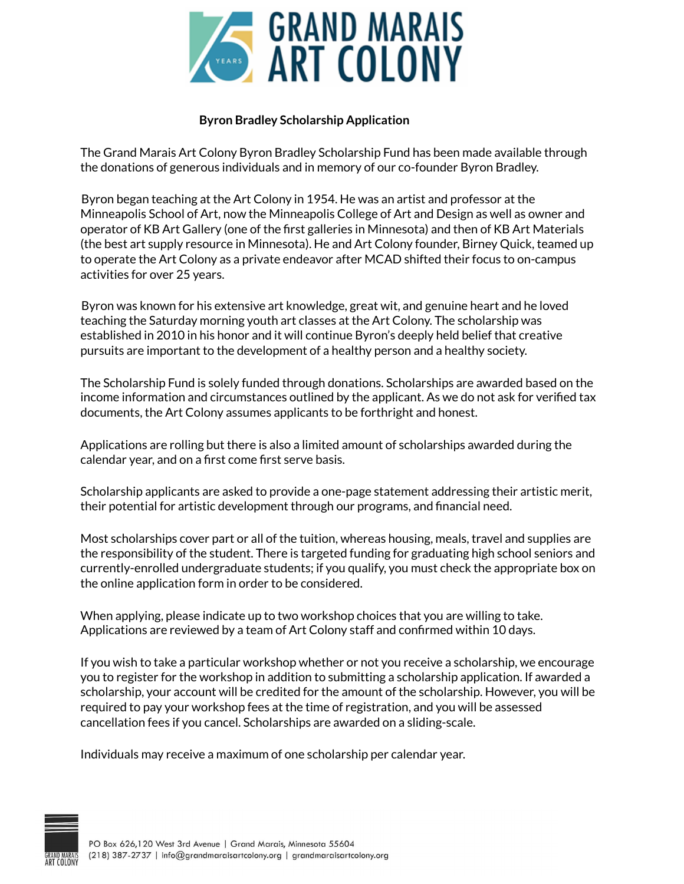

## **Byron Bradley Scholarship Application**

The Grand Marais Art Colony Byron Bradley Scholarship Fund has been made available through the donations of generous individuals and in memory of our co-founder Byron Bradley.

Byron began teaching at the Art Colony in 1954. He was an artist and professor at the Minneapolis School of Art, now the Minneapolis College of Art and Design as well as owner and operator of KB Art Gallery (one of the first galleries in Minnesota) and then of KB Art Materials (the best art supply resource in Minnesota). He and Art Colony founder, Birney Quick, teamed up to operate the Art Colony as a private endeavor after MCAD shifted their focus to on-campus activities for over 25 years.

Byron was known for his extensive art knowledge, great wit, and genuine heart and he loved teaching the Saturday morning youth art classes at the Art Colony. The scholarship was established in 2010 in his honor and it will continue Byron's deeply held belief that creative pursuits are important to the development of a healthy person and a healthy society.

The Scholarship Fund is solely funded through donations. Scholarships are awarded based on the income information and circumstances outlined by the applicant. As we do not ask for verified tax documents, the Art Colony assumes applicants to be forthright and honest.

Applications are rolling but there is also a limited amount of scholarships awarded during the calendar year, and on a first come first serve basis.

Scholarship applicants are asked to provide a one-page statement addressing their artistic merit, their potential for artistic development through our programs, and financial need.

Most scholarships cover part or all of the tuition, whereas housing, meals, travel and supplies are the responsibility of the student. There is targeted funding for graduating high school seniors and currently-enrolled undergraduate students; if you qualify, you must check the appropriate box on the online application form in order to be considered.

When applying, please indicate up to two workshop choices that you are willing to take. Applications are reviewed by a team of Art Colony staff and confirmed within 10 days.

If you wish to take a particular workshop whether or not you receive a scholarship, we encourage you to register for the workshop in addition to submitting a scholarship application. If awarded a scholarship, your account will be credited for the amount of the scholarship. However, you will be required to pay your workshop fees at the time of registration, and you will be assessed cancellation fees if you cancel. Scholarships are awarded on a sliding-scale.

Individuals may receive a maximum of one scholarship per calendar year.